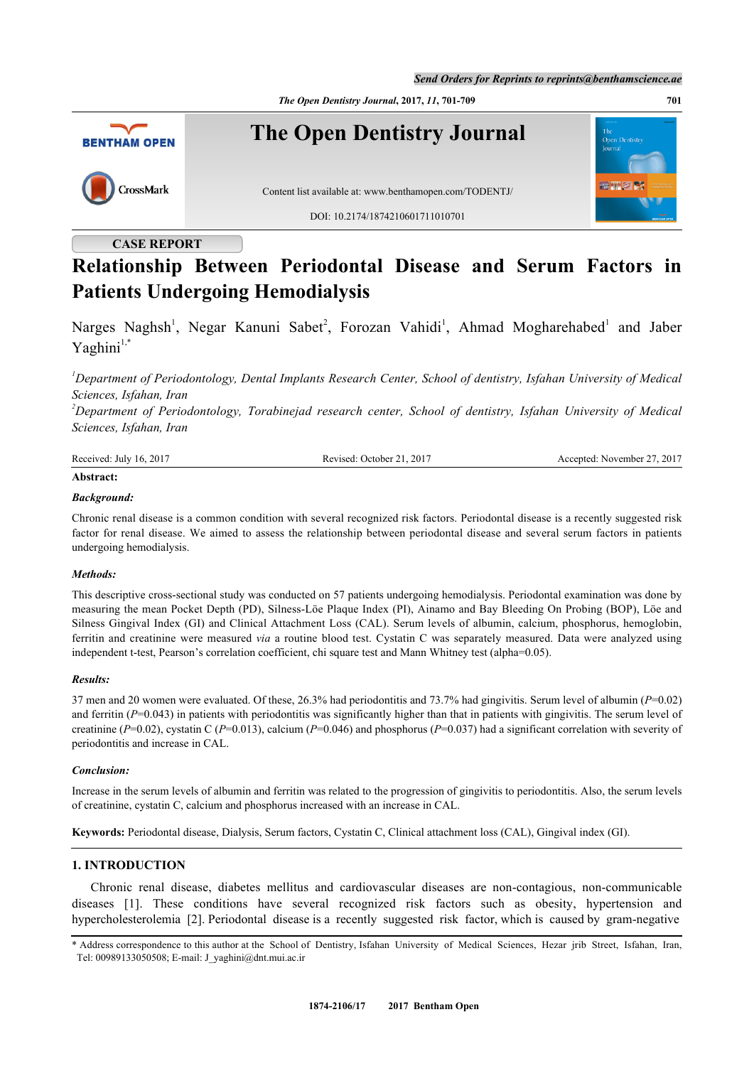*The Open Dentistry Journal***, 2017,** *11***, 701-709 701**



# **CASE REPORT**

# **Relationship Between Periodontal Disease and Serum Factors in Patients Undergoing Hemodialysis**

Narges Naghsh<sup>[1](#page-0-0)</sup>, Negar Kanuni Sabet<sup>[2](#page-0-1)</sup>, Forozan Vahidi<sup>1</sup>, Ahmad Mogharehabed<sup>1</sup> and Jaber  $Y$ aghini $1,*$  $1,*$ 

<span id="page-0-0"></span>*<sup>1</sup>Department of Periodontology, Dental Implants Research Center, School of dentistry, Isfahan University of Medical Sciences, Isfahan, Iran*

<span id="page-0-1"></span>*<sup>2</sup>Department of Periodontology, Torabinejad research center, School of dentistry, Isfahan University of Medical Sciences, Isfahan, Iran*

| Received:<br>201<br>Julv<br>-16 | $201^{\circ}$<br>. )ctober<br><b>CA</b><br>2017<br>$\overline{\phantom{a}}$<br>$\cdots$ | .2017<br>$\sim$ $\sim$<br>November –<br>cepted a<br>40. |
|---------------------------------|-----------------------------------------------------------------------------------------|---------------------------------------------------------|
|                                 |                                                                                         |                                                         |

# **Abstract:**

# *Background:*

Chronic renal disease is a common condition with several recognized risk factors. Periodontal disease is a recently suggested risk factor for renal disease. We aimed to assess the relationship between periodontal disease and several serum factors in patients undergoing hemodialysis.

## *Methods:*

This descriptive cross-sectional study was conducted on 57 patients undergoing hemodialysis. Periodontal examination was done by measuring the mean Pocket Depth (PD), Silness-Löe Plaque Index (PI), Ainamo and Bay Bleeding On Probing (BOP), Löe and Silness Gingival Index (GI) and Clinical Attachment Loss (CAL). Serum levels of albumin, calcium, phosphorus, hemoglobin, ferritin and creatinine were measured *via* a routine blood test. Cystatin C was separately measured. Data were analyzed using independent t-test, Pearson's correlation coefficient, chi square test and Mann Whitney test (alpha=0.05).

## *Results:*

37 men and 20 women were evaluated. Of these, 26.3% had periodontitis and 73.7% had gingivitis. Serum level of albumin (*P*=0.02) and ferritin (*P*=0.043) in patients with periodontitis was significantly higher than that in patients with gingivitis. The serum level of creatinine (*P*=0.02), cystatin C (*P*=0.013), calcium (*P*=0.046) and phosphorus (*P*=0.037) had a significant correlation with severity of periodontitis and increase in CAL.

#### *Conclusion:*

Increase in the serum levels of albumin and ferritin was related to the progression of gingivitis to periodontitis. Also, the serum levels of creatinine, cystatin C, calcium and phosphorus increased with an increase in CAL.

**Keywords:** Periodontal disease, Dialysis, Serum factors, Cystatin C, Clinical attachment loss (CAL), Gingival index (GI).

# **1. INTRODUCTION**

Chronic renal disease, diabetes mellitus and cardiovascular diseases are non-contagious, non-communicable diseases[[1\]](#page-5-0). These conditions have several recognized risk factors such as obesity, hypertension and hypercholesterolemia [\[2](#page-6-0)]. Periodontal disease is a recently suggested risk factor, which is caused by gram-negative

<span id="page-0-2"></span>\* Address correspondence to this author at the School of Dentistry, Isfahan University of Medical Sciences, Hezar jrib Street, Isfahan, Iran, Tel: 00989133050508; E-mail: [J\\_yaghini@dnt.mui.ac.ir](mailto:J_yaghini@dnt.mui.ac.ir)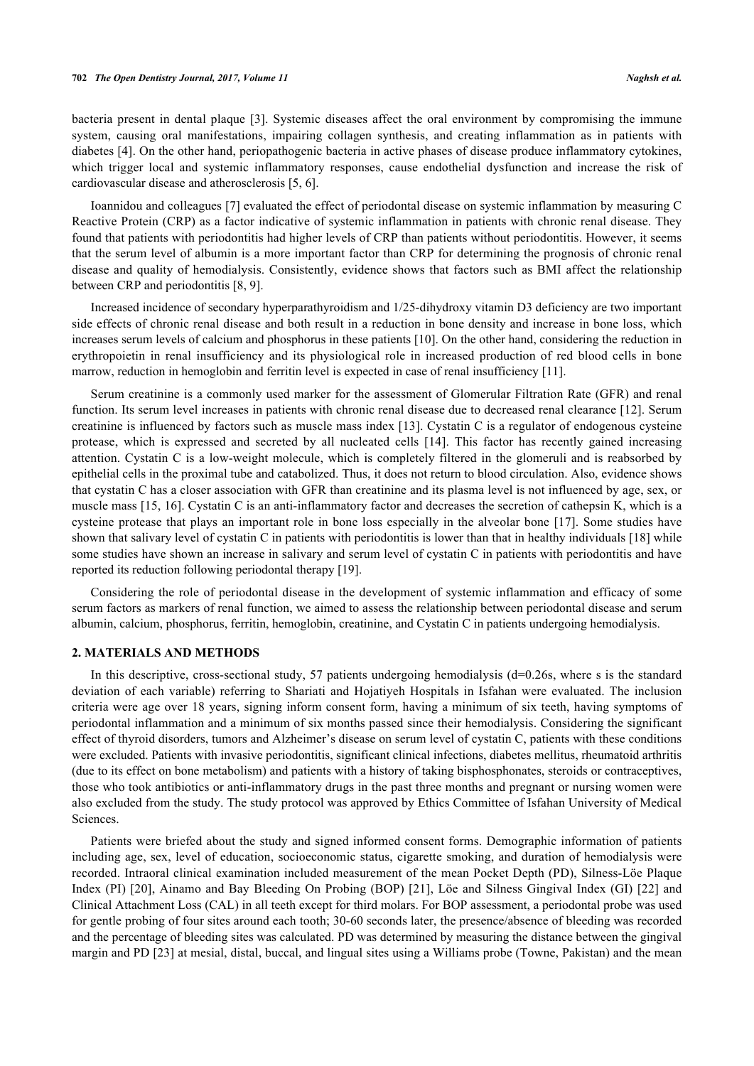bacteria present in dental plaque [[3](#page-6-1)]. Systemic diseases affect the oral environment by compromising the immune system, causing oral manifestations, impairing collagen synthesis, and creating inflammation as in patients with diabetes [\[4](#page-6-2)]. On the other hand, periopathogenic bacteria in active phases of disease produce inflammatory cytokines, which trigger local and systemic inflammatory responses, cause endothelial dysfunction and increase the risk of cardiovascular disease and atherosclerosis [\[5](#page-6-3), [6](#page-6-4)].

Ioannidou and colleagues [\[7](#page-6-5)] evaluated the effect of periodontal disease on systemic inflammation by measuring C Reactive Protein (CRP) as a factor indicative of systemic inflammation in patients with chronic renal disease. They found that patients with periodontitis had higher levels of CRP than patients without periodontitis. However, it seems that the serum level of albumin is a more important factor than CRP for determining the prognosis of chronic renal disease and quality of hemodialysis. Consistently, evidence shows that factors such as BMI affect the relationship between CRP and periodontitis [\[8](#page-6-6), [9](#page-6-7)].

Increased incidence of secondary hyperparathyroidism and 1/25-dihydroxy vitamin D3 deficiency are two important side effects of chronic renal disease and both result in a reduction in bone density and increase in bone loss, which increases serum levels of calcium and phosphorus in these patients [[10\]](#page-6-8). On the other hand, considering the reduction in erythropoietin in renal insufficiency and its physiological role in increased production of red blood cells in bone marrow, reduction in hemoglobin and ferritin level is expected in case of renal insufficiency [\[11](#page-6-9)].

Serum creatinine is a commonly used marker for the assessment of Glomerular Filtration Rate (GFR) and renal function. Its serum level increases in patients with chronic renal disease due to decreased renal clearance [\[12](#page-6-10)]. Serum creatinine is influenced by factors such as muscle mass index [\[13](#page-6-11)]. Cystatin C is a regulator of endogenous cysteine protease, which is expressed and secreted by all nucleated cells[[14\]](#page-6-12). This factor has recently gained increasing attention. Cystatin C is a low-weight molecule, which is completely filtered in the glomeruli and is reabsorbed by epithelial cells in the proximal tube and catabolized. Thus, it does not return to blood circulation. Also, evidence shows that cystatin C has a closer association with GFR than creatinine and its plasma level is not influenced by age, sex, or muscle mass [\[15,](#page-6-13) [16\]](#page-6-14). Cystatin C is an anti-inflammatory factor and decreases the secretion of cathepsin K, which is a cysteine protease that plays an important role in bone loss especially in the alveolar bone [[17](#page-6-15)]. Some studies have shown that salivary level of cystatin C in patients with periodontitis is lower than that in healthy individuals [\[18](#page-6-16)] while some studies have shown an increase in salivary and serum level of cystatin C in patients with periodontitis and have reported its reduction following periodontal therapy [[19\]](#page-6-17).

Considering the role of periodontal disease in the development of systemic inflammation and efficacy of some serum factors as markers of renal function, we aimed to assess the relationship between periodontal disease and serum albumin, calcium, phosphorus, ferritin, hemoglobin, creatinine, and Cystatin C in patients undergoing hemodialysis.

## **2. MATERIALS AND METHODS**

In this descriptive, cross-sectional study, 57 patients undergoing hemodialysis (d=0.26s, where s is the standard deviation of each variable) referring to Shariati and Hojatiyeh Hospitals in Isfahan were evaluated. The inclusion criteria were age over 18 years, signing inform consent form, having a minimum of six teeth, having symptoms of periodontal inflammation and a minimum of six months passed since their hemodialysis. Considering the significant effect of thyroid disorders, tumors and Alzheimer's disease on serum level of cystatin C, patients with these conditions were excluded. Patients with invasive periodontitis, significant clinical infections, diabetes mellitus, rheumatoid arthritis (due to its effect on bone metabolism) and patients with a history of taking bisphosphonates, steroids or contraceptives, those who took antibiotics or anti-inflammatory drugs in the past three months and pregnant or nursing women were also excluded from the study. The study protocol was approved by Ethics Committee of Isfahan University of Medical Sciences.

Patients were briefed about the study and signed informed consent forms. Demographic information of patients including age, sex, level of education, socioeconomic status, cigarette smoking, and duration of hemodialysis were recorded. Intraoral clinical examination included measurement of the mean Pocket Depth (PD), Silness-Löe Plaque Index (PI) [\[20\]](#page-6-18), Ainamo and Bay Bleeding On Probing (BOP) [\[21\]](#page-6-19), Löe and Silness Gingival Index (GI) [[22](#page-7-0)] and Clinical Attachment Loss (CAL) in all teeth except for third molars. For BOP assessment, a periodontal probe was used for gentle probing of four sites around each tooth; 30-60 seconds later, the presence/absence of bleeding was recorded and the percentage of bleeding sites was calculated. PD was determined by measuring the distance between the gingival margin and PD [\[23](#page-7-1)] at mesial, distal, buccal, and lingual sites using a Williams probe (Towne, Pakistan) and the mean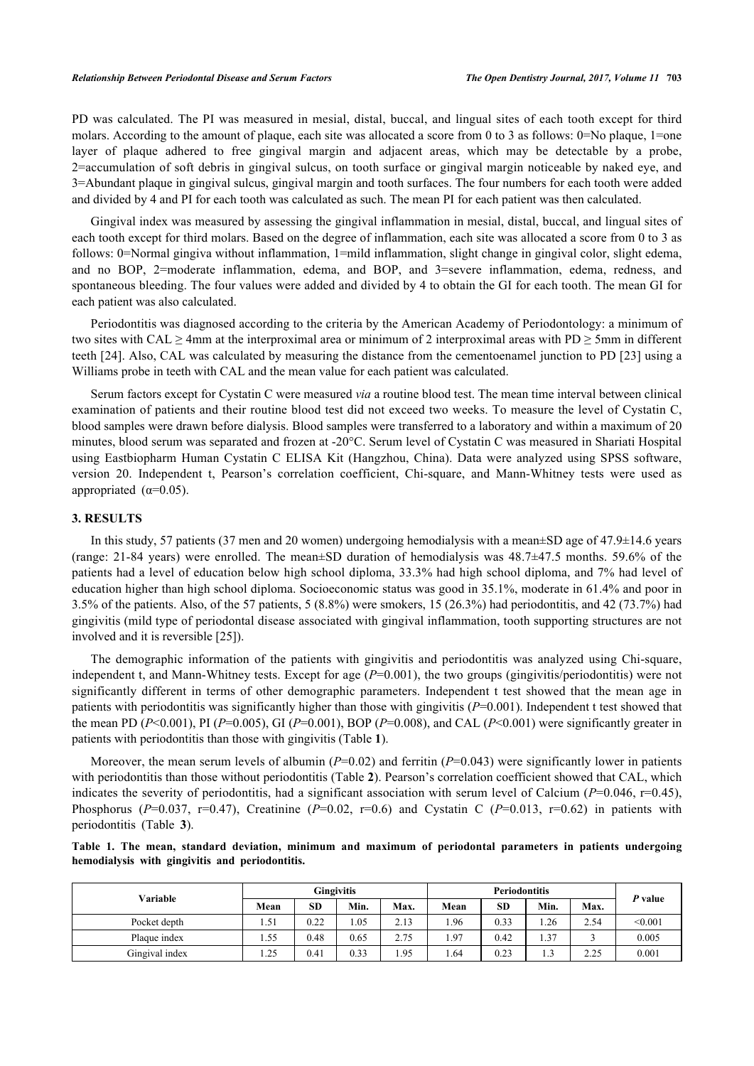PD was calculated. The PI was measured in mesial, distal, buccal, and lingual sites of each tooth except for third molars. According to the amount of plaque, each site was allocated a score from 0 to 3 as follows: 0=No plaque, 1=one layer of plaque adhered to free gingival margin and adjacent areas, which may be detectable by a probe, 2=accumulation of soft debris in gingival sulcus, on tooth surface or gingival margin noticeable by naked eye, and 3=Abundant plaque in gingival sulcus, gingival margin and tooth surfaces. The four numbers for each tooth were added and divided by 4 and PI for each tooth was calculated as such. The mean PI for each patient was then calculated.

Gingival index was measured by assessing the gingival inflammation in mesial, distal, buccal, and lingual sites of each tooth except for third molars. Based on the degree of inflammation, each site was allocated a score from 0 to 3 as follows: 0=Normal gingiva without inflammation, 1=mild inflammation, slight change in gingival color, slight edema, and no BOP, 2=moderate inflammation, edema, and BOP, and 3=severe inflammation, edema, redness, and spontaneous bleeding. The four values were added and divided by 4 to obtain the GI for each tooth. The mean GI for each patient was also calculated.

Periodontitis was diagnosed according to the criteria by the American Academy of Periodontology: a minimum of two sites with CAL  $\geq$  4mm at the interproximal area or minimum of 2 interproximal areas with PD  $\geq$  5mm in different teeth [[24\]](#page-7-2). Also, CAL was calculated by measuring the distance from the cementoenamel junction to PD [[23](#page-7-1)] using a Williams probe in teeth with CAL and the mean value for each patient was calculated.

Serum factors except for Cystatin C were measured *via* a routine blood test. The mean time interval between clinical examination of patients and their routine blood test did not exceed two weeks. To measure the level of Cystatin C, blood samples were drawn before dialysis. Blood samples were transferred to a laboratory and within a maximum of 20 minutes, blood serum was separated and frozen at -20°C. Serum level of Cystatin C was measured in Shariati Hospital using Eastbiopharm Human Cystatin C ELISA Kit (Hangzhou, China). Data were analyzed using SPSS software, version 20. Independent t, Pearson's correlation coefficient, Chi-square, and Mann-Whitney tests were used as appropriated ( $\alpha$ =0.05).

# **3. RESULTS**

In this study, 57 patients (37 men and 20 women) undergoing hemodialysis with a mean±SD age of 47.9±14.6 years (range: 21-84 years) were enrolled. The mean±SD duration of hemodialysis was 48.7±47.5 months. 59.6% of the patients had a level of education below high school diploma, 33.3% had high school diploma, and 7% had level of education higher than high school diploma. Socioeconomic status was good in 35.1%, moderate in 61.4% and poor in 3.5% of the patients. Also, of the 57 patients, 5 (8.8%) were smokers, 15 (26.3%) had periodontitis, and 42 (73.7%) had gingivitis (mild type of periodontal disease associated with gingival inflammation, tooth supporting structures are not involved and it is reversible [[25\]](#page-7-3)).

The demographic information of the patients with gingivitis and periodontitis was analyzed using Chi-square, independent t, and Mann-Whitney tests. Except for age (*P*=0.001), the two groups (gingivitis/periodontitis) were not significantly different in terms of other demographic parameters. Independent t test showed that the mean age in patients with periodontitis was significantly higher than those with gingivitis (*P*=0.001). Independent t test showed that the mean PD (*P*<0.001), PI (*P*=0.005), GI (*P*=0.001), BOP (*P*=0.008), and CAL (*P*<0.001) were significantly greater in patients with periodontitis than those with gingivitis (Table **[1](#page-2-0)**).

Moreover, the mean serum levels of albumin ( $P=0.02$ ) and ferritin ( $P=0.043$ ) were significantly lower in patients with periodontitis than those without periodontitis (Table **[2](#page-3-0)**). Pearson's correlation coefficient showed that CAL, which indicates the severity of periodontitis, had a significant association with serum level of Calcium ( $P=0.046$ ,  $r=0.45$ ), Phosphorus (*P*=0.037, r=0.47), Creatinine (*P*=0.02, r=0.6) and Cystatin C (*P*=0.013, r=0.62) in patients with periodontitis (Table**3**).

<span id="page-2-0"></span>**Table 1. The mean, standard deviation, minimum and maximum of periodontal parameters in patients undergoing hemodialysis with gingivitis and periodontitis.**

| Variable       |      | <b>Gingivitis</b> |      |      |      |      |        |      |         |
|----------------|------|-------------------|------|------|------|------|--------|------|---------|
|                | Mean | <b>SD</b>         | Min. | Max. | Mean | SD   | Min.   | Max. | P value |
| Pocket depth   | 1.51 | 0.22              | 1.05 | 2.13 | .96  | 0.33 | 1.26   | 2.54 | < 0.001 |
| Plaque index   | 1.55 | 0.48              | 0.65 | 2.75 | . 97 | 0.42 | 1.37   |      | 0.005   |
| Gingival index | 1.25 | 0.41              | 0.33 | .95  | .64  | 0.23 | $\sim$ | 2.25 | 0.001   |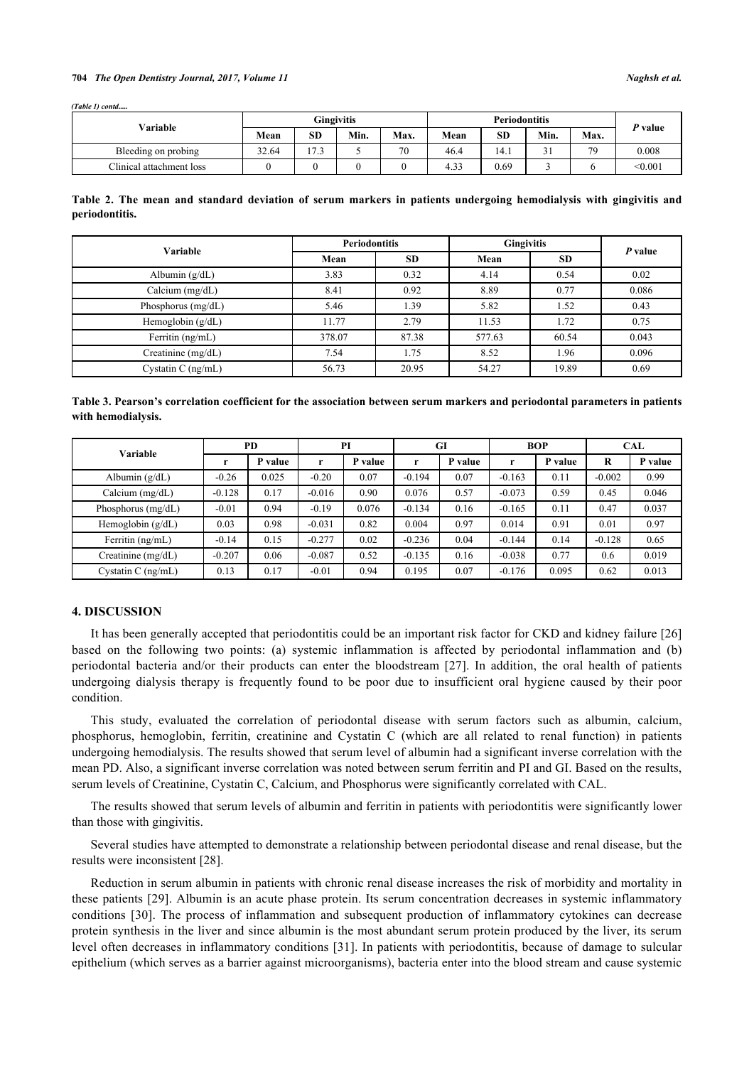#### **704** *The Open Dentistry Journal, 2017, Volume 11 Naghsh et al.*

*(Table 1) contd.* 

| Variable                 |       |           | <b>Gingivitis</b> |      |                | P value   |        |      |         |
|--------------------------|-------|-----------|-------------------|------|----------------|-----------|--------|------|---------|
|                          | Mean  | <b>SD</b> | Min.              | Max. | Mean           | <b>SD</b> | Min.   | Max. |         |
| Bleeding on probing      | 32.64 | $-7$      |                   | 70   | 46.4           | 14.1      | $\sim$ | 79   | 0.008   |
| Clinical attachment loss |       |           |                   |      | $\sim$<br>4.25 | 0.69      |        |      | < 0.001 |

<span id="page-3-0"></span>

| Table 2. The mean and standard deviation of serum markers in patients undergoing hemodialysis with gingivitis and |  |  |  |  |  |  |  |
|-------------------------------------------------------------------------------------------------------------------|--|--|--|--|--|--|--|
| periodontitis.                                                                                                    |  |  |  |  |  |  |  |

| Variable             | <b>Periodontitis</b> |           | <b>Gingivitis</b> | P value   |       |  |
|----------------------|----------------------|-----------|-------------------|-----------|-------|--|
|                      | Mean                 | <b>SD</b> | Mean              | <b>SD</b> |       |  |
| Albumin $(g/dL)$     | 3.83                 | 0.32      | 4.14              | 0.54      | 0.02  |  |
| Calcium $(mg/dL)$    | 8.41                 | 0.92      | 8.89              | 0.77      | 0.086 |  |
| Phosphorus (mg/dL)   | 5.46                 | 1.39      | 5.82              | 1.52      | 0.43  |  |
| Hemoglobin $(g/dL)$  | 11.77                | 2.79      | 11.53             | 1.72      | 0.75  |  |
| Ferritin (ng/mL)     | 378.07               | 87.38     | 577.63            | 60.54     | 0.043 |  |
| Creatinine (mg/dL)   | 7.54                 | 1.75      | 8.52              | 1.96      | 0.096 |  |
| Cystatin C $(ng/mL)$ | 56.73                | 20.95     | 54.27             | 19.89     | 0.69  |  |

<span id="page-3-1"></span>**Table 3. Pearson's correlation coefficient for the association between serum markers and periodontal parameters in patients with hemodialysis.**

| <b>Variable</b>      | PD       |         | PI       |         |          | GI      |          | <b>BOP</b> | <b>CAL</b> |         |
|----------------------|----------|---------|----------|---------|----------|---------|----------|------------|------------|---------|
|                      |          | P value | r        | P value | r        | P value |          | P value    | R          | P value |
| Albumin $(g/dL)$     | $-0.26$  | 0.025   | $-0.20$  | 0.07    | $-0.194$ | 0.07    | $-0.163$ | 0.11       | $-0.002$   | 0.99    |
| Calcium $(mg/dL)$    | $-0.128$ | 0.17    | $-0.016$ | 0.90    | 0.076    | 0.57    | $-0.073$ | 0.59       | 0.45       | 0.046   |
| Phosphorus $(mg/dL)$ | $-0.01$  | 0.94    | $-0.19$  | 0.076   | $-0.134$ | 0.16    | $-0.165$ | 0.11       | 0.47       | 0.037   |
| Hemoglobin $(g/dL)$  | 0.03     | 0.98    | $-0.031$ | 0.82    | 0.004    | 0.97    | 0.014    | 0.91       | 0.01       | 0.97    |
| Ferritin (ng/mL)     | $-0.14$  | 0.15    | $-0.277$ | 0.02    | $-0.236$ | 0.04    | $-0.144$ | 0.14       | $-0.128$   | 0.65    |
| Creatinine (mg/dL)   | $-0.207$ | 0.06    | $-0.087$ | 0.52    | $-0.135$ | 0.16    | $-0.038$ | 0.77       | 0.6        | 0.019   |
| Cystatin C $(ng/mL)$ | 0.13     | 0.17    | $-0.01$  | 0.94    | 0.195    | 0.07    | $-0.176$ | 0.095      | 0.62       | 0.013   |

# **4. DISCUSSION**

It has been generally accepted that periodontitis could be an important risk factor for CKD and kidney failure [\[26](#page-7-4)] based on the following two points: (a) systemic inflammation is affected by periodontal inflammation and (b) periodontal bacteria and/or their products can enter the bloodstream[[27\]](#page-7-5). In addition, the oral health of patients undergoing dialysis therapy is frequently found to be poor due to insufficient oral hygiene caused by their poor condition.

This study, evaluated the correlation of periodontal disease with serum factors such as albumin, calcium, phosphorus, hemoglobin, ferritin, creatinine and Cystatin C (which are all related to renal function) in patients undergoing hemodialysis. The results showed that serum level of albumin had a significant inverse correlation with the mean PD. Also, a significant inverse correlation was noted between serum ferritin and PI and GI. Based on the results, serum levels of Creatinine, Cystatin C, Calcium, and Phosphorus were significantly correlated with CAL.

The results showed that serum levels of albumin and ferritin in patients with periodontitis were significantly lower than those with gingivitis.

Several studies have attempted to demonstrate a relationship between periodontal disease and renal disease, but the results were inconsistent [[28\]](#page-7-6).

Reduction in serum albumin in patients with chronic renal disease increases the risk of morbidity and mortality in these patients [[29](#page-7-7)]. Albumin is an acute phase protein. Its serum concentration decreases in systemic inflammatory conditions[[30](#page-7-8)]. The process of inflammation and subsequent production of inflammatory cytokines can decrease protein synthesis in the liver and since albumin is the most abundant serum protein produced by the liver, its serum level often decreases in inflammatory conditions [[31\]](#page-7-9). In patients with periodontitis, because of damage to sulcular epithelium (which serves as a barrier against microorganisms), bacteria enter into the blood stream and cause systemic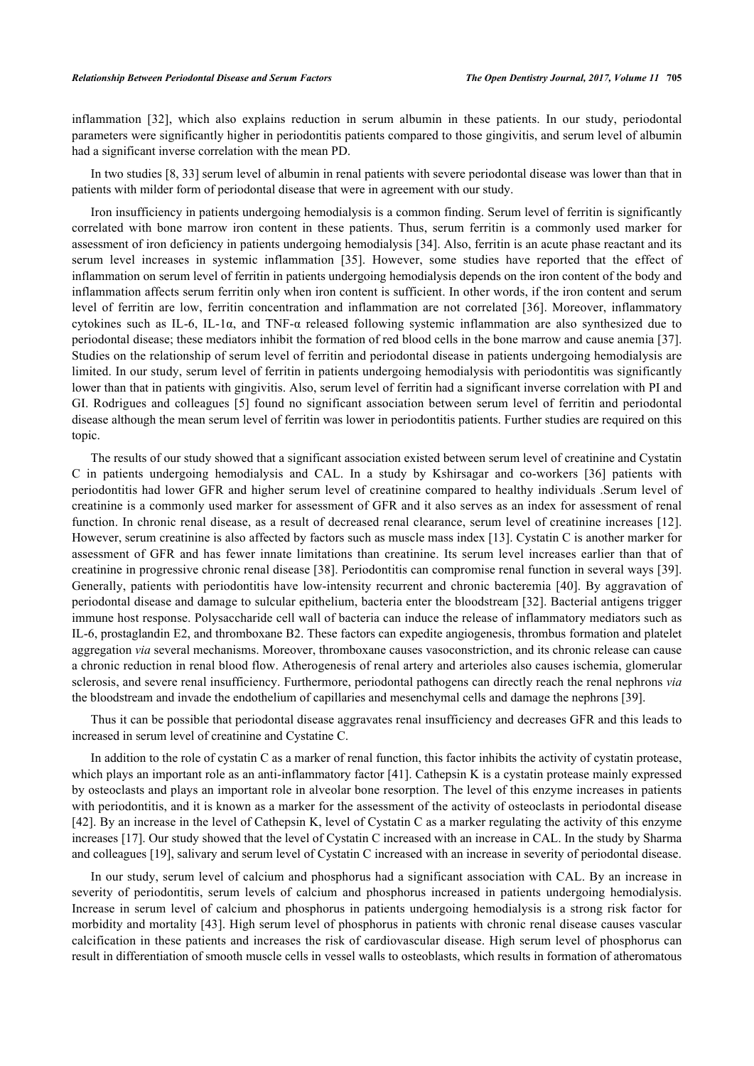inflammation[[32](#page-7-10)], which also explains reduction in serum albumin in these patients. In our study, periodontal parameters were significantly higher in periodontitis patients compared to those gingivitis, and serum level of albumin had a significant inverse correlation with the mean PD.

In two studies [[8,](#page-6-6) [33\]](#page-7-11) serum level of albumin in renal patients with severe periodontal disease was lower than that in patients with milder form of periodontal disease that were in agreement with our study.

Iron insufficiency in patients undergoing hemodialysis is a common finding. Serum level of ferritin is significantly correlated with bone marrow iron content in these patients. Thus, serum ferritin is a commonly used marker for assessment of iron deficiency in patients undergoing hemodialysis [[34](#page-7-12)]. Also, ferritin is an acute phase reactant and its serum level increases in systemic inflammation[[35\]](#page-7-13). However, some studies have reported that the effect of inflammation on serum level of ferritin in patients undergoing hemodialysis depends on the iron content of the body and inflammation affects serum ferritin only when iron content is sufficient. In other words, if the iron content and serum level of ferritin are low, ferritin concentration and inflammation are not correlated[[36](#page-7-14)]. Moreover, inflammatory cytokines such as IL-6, IL-1α, and TNF-α released following systemic inflammation are also synthesized due to periodontal disease; these mediators inhibit the formation of red blood cells in the bone marrow and cause anemia [[37\]](#page-7-15). Studies on the relationship of serum level of ferritin and periodontal disease in patients undergoing hemodialysis are limited. In our study, serum level of ferritin in patients undergoing hemodialysis with periodontitis was significantly lower than that in patients with gingivitis. Also, serum level of ferritin had a significant inverse correlation with PI and GI. Rodrigues and colleagues [\[5\]](#page-6-3) found no significant association between serum level of ferritin and periodontal disease although the mean serum level of ferritin was lower in periodontitis patients. Further studies are required on this topic.

The results of our study showed that a significant association existed between serum level of creatinine and Cystatin C in patients undergoing hemodialysis and CAL. In a study by Kshirsagar and co-workers[[36](#page-7-14)] patients with periodontitis had lower GFR and higher serum level of creatinine compared to healthy individuals .Serum level of creatinine is a commonly used marker for assessment of GFR and it also serves as an index for assessment of renal function. In chronic renal disease, as a result of decreased renal clearance, serum level of creatinine increases [\[12\]](#page-6-10). However, serum creatinine is also affected by factors such as muscle mass index [\[13](#page-6-11)]. Cystatin C is another marker for assessment of GFR and has fewer innate limitations than creatinine. Its serum level increases earlier than that of creatinine in progressive chronic renal disease [[38](#page-7-16)]. Periodontitis can compromise renal function in several ways [[39\]](#page-7-17). Generally, patients with periodontitis have low-intensity recurrent and chronic bacteremia [[40\]](#page-7-18). By aggravation of periodontal disease and damage to sulcular epithelium, bacteria enter the bloodstream [[32](#page-7-10)]. Bacterial antigens trigger immune host response. Polysaccharide cell wall of bacteria can induce the release of inflammatory mediators such as IL-6, prostaglandin E2, and thromboxane B2. These factors can expedite angiogenesis, thrombus formation and platelet aggregation *via* several mechanisms. Moreover, thromboxane causes vasoconstriction, and its chronic release can cause a chronic reduction in renal blood flow. Atherogenesis of renal artery and arterioles also causes ischemia, glomerular sclerosis, and severe renal insufficiency. Furthermore, periodontal pathogens can directly reach the renal nephrons *via* the bloodstream and invade the endothelium of capillaries and mesenchymal cells and damage the nephrons [\[39](#page-7-17)].

Thus it can be possible that periodontal disease aggravates renal insufficiency and decreases GFR and this leads to increased in serum level of creatinine and Cystatine C.

In addition to the role of cystatin C as a marker of renal function, this factor inhibits the activity of cystatin protease, which plays an important role as an anti-inflammatory factor [[41\]](#page-7-19). Cathepsin K is a cystatin protease mainly expressed by osteoclasts and plays an important role in alveolar bone resorption. The level of this enzyme increases in patients with periodontitis, and it is known as a marker for the assessment of the activity of osteoclasts in periodontal disease [\[42](#page-7-20)]. By an increase in the level of Cathepsin K, level of Cystatin C as a marker regulating the activity of this enzyme increases [\[17](#page-6-15)]. Our study showed that the level of Cystatin C increased with an increase in CAL. In the study by Sharma and colleagues [[19\]](#page-6-17), salivary and serum level of Cystatin C increased with an increase in severity of periodontal disease.

In our study, serum level of calcium and phosphorus had a significant association with CAL. By an increase in severity of periodontitis, serum levels of calcium and phosphorus increased in patients undergoing hemodialysis. Increase in serum level of calcium and phosphorus in patients undergoing hemodialysis is a strong risk factor for morbidity and mortality [[43](#page-8-0)]. High serum level of phosphorus in patients with chronic renal disease causes vascular calcification in these patients and increases the risk of cardiovascular disease. High serum level of phosphorus can result in differentiation of smooth muscle cells in vessel walls to osteoblasts, which results in formation of atheromatous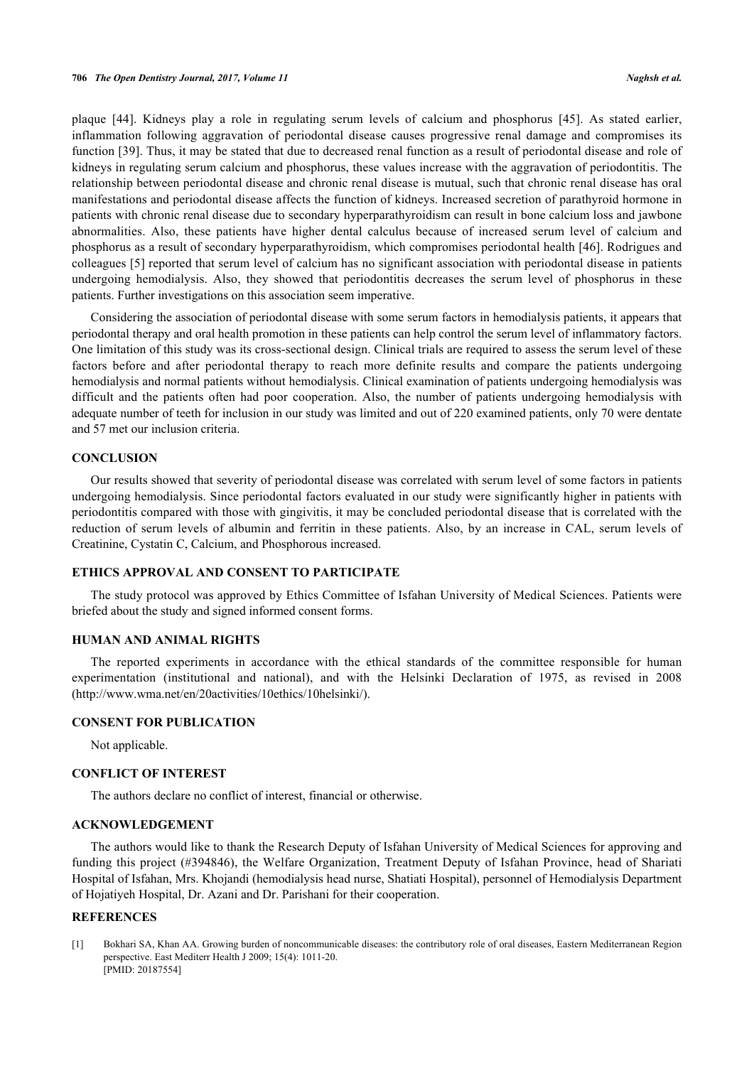plaque[[44](#page-8-1)]. Kidneys play a role in regulating serum levels of calcium and phosphorus[[45\]](#page-8-2). As stated earlier, inflammation following aggravation of periodontal disease causes progressive renal damage and compromises its function [[39\]](#page-7-17). Thus, it may be stated that due to decreased renal function as a result of periodontal disease and role of kidneys in regulating serum calcium and phosphorus, these values increase with the aggravation of periodontitis. The relationship between periodontal disease and chronic renal disease is mutual, such that chronic renal disease has oral manifestations and periodontal disease affects the function of kidneys. Increased secretion of parathyroid hormone in patients with chronic renal disease due to secondary hyperparathyroidism can result in bone calcium loss and jawbone abnormalities. Also, these patients have higher dental calculus because of increased serum level of calcium and phosphorus as a result of secondary hyperparathyroidism, which compromises periodontal health [[46\]](#page-8-3). Rodrigues and colleagues [[5](#page-6-3)] reported that serum level of calcium has no significant association with periodontal disease in patients undergoing hemodialysis. Also, they showed that periodontitis decreases the serum level of phosphorus in these patients. Further investigations on this association seem imperative.

Considering the association of periodontal disease with some serum factors in hemodialysis patients, it appears that periodontal therapy and oral health promotion in these patients can help control the serum level of inflammatory factors. One limitation of this study was its cross-sectional design. Clinical trials are required to assess the serum level of these factors before and after periodontal therapy to reach more definite results and compare the patients undergoing hemodialysis and normal patients without hemodialysis. Clinical examination of patients undergoing hemodialysis was difficult and the patients often had poor cooperation. Also, the number of patients undergoing hemodialysis with adequate number of teeth for inclusion in our study was limited and out of 220 examined patients, only 70 were dentate and 57 met our inclusion criteria.

## **CONCLUSION**

Our results showed that severity of periodontal disease was correlated with serum level of some factors in patients undergoing hemodialysis. Since periodontal factors evaluated in our study were significantly higher in patients with periodontitis compared with those with gingivitis, it may be concluded periodontal disease that is correlated with the reduction of serum levels of albumin and ferritin in these patients. Also, by an increase in CAL, serum levels of Creatinine, Cystatin C, Calcium, and Phosphorous increased.

# **ETHICS APPROVAL AND CONSENT TO PARTICIPATE**

The study protocol was approved by Ethics Committee of Isfahan University of Medical Sciences. Patients were briefed about the study and signed informed consent forms.

#### **HUMAN AND ANIMAL RIGHTS**

The reported experiments in accordance with the ethical standards of the committee responsible for human experimentation (institutional and national), and with the Helsinki Declaration of 1975, as revised in 2008 [\(http://www.wma.net/en/20activities/10ethics/10helsinki/\)](http://www.wma.net/en/20activities/10ethics/10helsinki/).

# **CONSENT FOR PUBLICATION**

Not applicable.

# **CONFLICT OF INTEREST**

The authors declare no conflict of interest, financial or otherwise.

# **ACKNOWLEDGEMENT**

The authors would like to thank the Research Deputy of Isfahan University of Medical Sciences for approving and funding this project (#394846), the Welfare Organization, Treatment Deputy of Isfahan Province, head of Shariati Hospital of Isfahan, Mrs. Khojandi (hemodialysis head nurse, Shatiati Hospital), personnel of Hemodialysis Department of Hojatiyeh Hospital, Dr. Azani and Dr. Parishani for their cooperation.

## **REFERENCES**

<span id="page-5-0"></span>[1] Bokhari SA, Khan AA. Growing burden of noncommunicable diseases: the contributory role of oral diseases, Eastern Mediterranean Region perspective. East Mediterr Health J 2009; 15(4): 1011-20. [PMID: [20187554\]](http://www.ncbi.nlm.nih.gov/pubmed/20187554)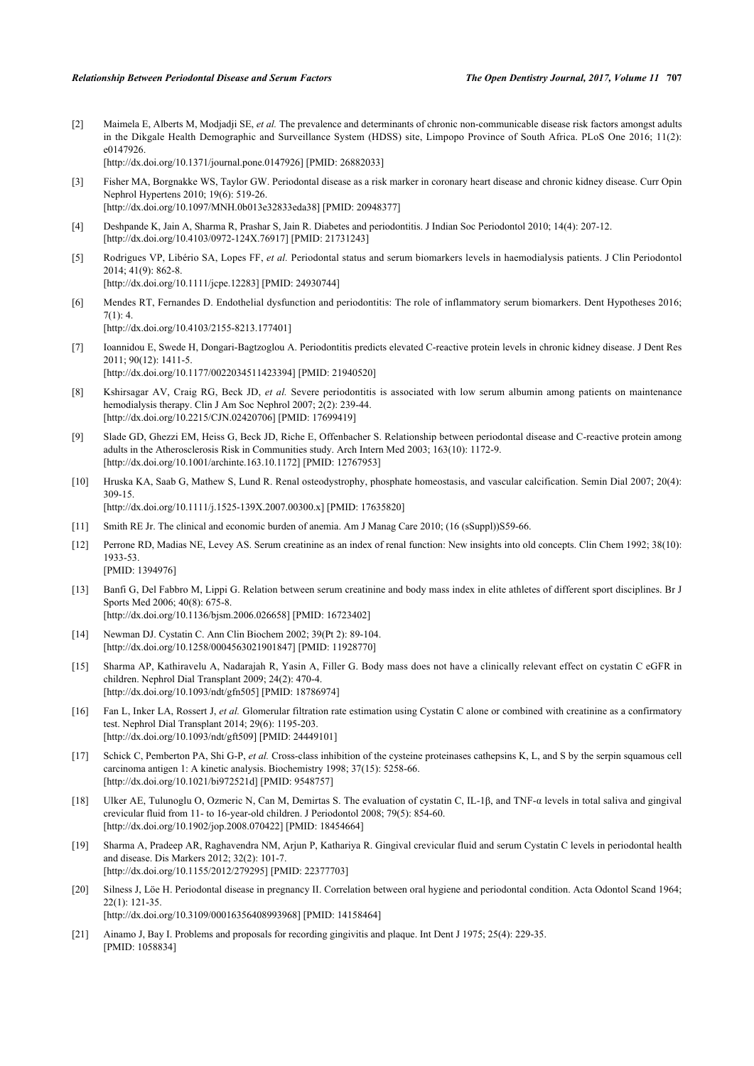<span id="page-6-0"></span>[2] Maimela E, Alberts M, Modjadji SE, *et al.* The prevalence and determinants of chronic non-communicable disease risk factors amongst adults in the Dikgale Health Demographic and Surveillance System (HDSS) site, Limpopo Province of South Africa. PLoS One 2016; 11(2): e0147926.

[\[http://dx.doi.org/10.1371/journal.pone.0147926](http://dx.doi.org/10.1371/journal.pone.0147926)] [PMID: [26882033\]](http://www.ncbi.nlm.nih.gov/pubmed/26882033)

- <span id="page-6-1"></span>[3] Fisher MA, Borgnakke WS, Taylor GW. Periodontal disease as a risk marker in coronary heart disease and chronic kidney disease. Curr Opin Nephrol Hypertens 2010; 19(6): 519-26. [\[http://dx.doi.org/10.1097/MNH.0b013e32833eda38](http://dx.doi.org/10.1097/MNH.0b013e32833eda38)] [PMID: [20948377\]](http://www.ncbi.nlm.nih.gov/pubmed/20948377)
- <span id="page-6-2"></span>[4] Deshpande K, Jain A, Sharma R, Prashar S, Jain R. Diabetes and periodontitis. J Indian Soc Periodontol 2010; 14(4): 207-12. [\[http://dx.doi.org/10.4103/0972-124X.76917](http://dx.doi.org/10.4103/0972-124X.76917)] [PMID: [21731243\]](http://www.ncbi.nlm.nih.gov/pubmed/21731243)
- <span id="page-6-3"></span>[5] Rodrigues VP, Libério SA, Lopes FF, *et al.* Periodontal status and serum biomarkers levels in haemodialysis patients. J Clin Periodontol 2014; 41(9): 862-8. [\[http://dx.doi.org/10.1111/jcpe.12283](http://dx.doi.org/10.1111/jcpe.12283)] [PMID: [24930744\]](http://www.ncbi.nlm.nih.gov/pubmed/24930744)
- <span id="page-6-4"></span>[6] Mendes RT, Fernandes D. Endothelial dysfunction and periodontitis: The role of inflammatory serum biomarkers. Dent Hypotheses 2016;  $7(1): 4.$ [\[http://dx.doi.org/10.4103/2155-8213.177401](http://dx.doi.org/10.4103/2155-8213.177401)]
- <span id="page-6-5"></span>[7] Ioannidou E, Swede H, Dongari-Bagtzoglou A. Periodontitis predicts elevated C-reactive protein levels in chronic kidney disease. J Dent Res 2011; 90(12): 1411-5. [\[http://dx.doi.org/10.1177/0022034511423394\]](http://dx.doi.org/10.1177/0022034511423394) [PMID: [21940520](http://www.ncbi.nlm.nih.gov/pubmed/21940520)]
- <span id="page-6-6"></span>[8] Kshirsagar AV, Craig RG, Beck JD, *et al.* Severe periodontitis is associated with low serum albumin among patients on maintenance hemodialysis therapy. Clin J Am Soc Nephrol 2007; 2(2): 239-44. [\[http://dx.doi.org/10.2215/CJN.02420706](http://dx.doi.org/10.2215/CJN.02420706)] [PMID: [17699419\]](http://www.ncbi.nlm.nih.gov/pubmed/17699419)
- <span id="page-6-7"></span>[9] Slade GD, Ghezzi EM, Heiss G, Beck JD, Riche E, Offenbacher S. Relationship between periodontal disease and C-reactive protein among adults in the Atherosclerosis Risk in Communities study. Arch Intern Med 2003; 163(10): 1172-9. [\[http://dx.doi.org/10.1001/archinte.163.10.1172\]](http://dx.doi.org/10.1001/archinte.163.10.1172) [PMID: [12767953](http://www.ncbi.nlm.nih.gov/pubmed/12767953)]
- <span id="page-6-8"></span>[10] Hruska KA, Saab G, Mathew S, Lund R. Renal osteodystrophy, phosphate homeostasis, and vascular calcification. Semin Dial 2007; 20(4): 309-15. [\[http://dx.doi.org/10.1111/j.1525-139X.2007.00300.x](http://dx.doi.org/10.1111/j.1525-139X.2007.00300.x)] [PMID: [17635820](http://www.ncbi.nlm.nih.gov/pubmed/17635820)]
- <span id="page-6-9"></span>[11] Smith RE Jr. The clinical and economic burden of anemia. Am J Manag Care 2010; (16 (sSuppl))S59-66.
- <span id="page-6-10"></span>[12] Perrone RD, Madias NE, Levey AS. Serum creatinine as an index of renal function: New insights into old concepts. Clin Chem 1992; 38(10): 1933-53. [PMID: [1394976\]](http://www.ncbi.nlm.nih.gov/pubmed/1394976)
- <span id="page-6-11"></span>[13] Banfi G, Del Fabbro M, Lippi G. Relation between serum creatinine and body mass index in elite athletes of different sport disciplines. Br J Sports Med 2006; 40(8): 675-8. [\[http://dx.doi.org/10.1136/bjsm.2006.026658](http://dx.doi.org/10.1136/bjsm.2006.026658)] [PMID: [16723402\]](http://www.ncbi.nlm.nih.gov/pubmed/16723402)
	-
- <span id="page-6-12"></span>[14] Newman DJ. Cystatin C. Ann Clin Biochem 2002; 39(Pt 2): 89-104. [\[http://dx.doi.org/10.1258/0004563021901847\]](http://dx.doi.org/10.1258/0004563021901847) [PMID: [11928770](http://www.ncbi.nlm.nih.gov/pubmed/11928770)]
- <span id="page-6-13"></span>[15] Sharma AP, Kathiravelu A, Nadarajah R, Yasin A, Filler G. Body mass does not have a clinically relevant effect on cystatin C eGFR in children. Nephrol Dial Transplant 2009; 24(2): 470-4. [\[http://dx.doi.org/10.1093/ndt/gfn505\]](http://dx.doi.org/10.1093/ndt/gfn505) [PMID: [18786974](http://www.ncbi.nlm.nih.gov/pubmed/18786974)]
- <span id="page-6-14"></span>[16] Fan L, Inker LA, Rossert J, *et al.* Glomerular filtration rate estimation using Cystatin C alone or combined with creatinine as a confirmatory test. Nephrol Dial Transplant 2014; 29(6): 1195-203. [\[http://dx.doi.org/10.1093/ndt/gft509](http://dx.doi.org/10.1093/ndt/gft509)] [PMID: [24449101\]](http://www.ncbi.nlm.nih.gov/pubmed/24449101)
- <span id="page-6-15"></span>[17] Schick C, Pemberton PA, Shi G-P, *et al.* Cross-class inhibition of the cysteine proteinases cathepsins K, L, and S by the serpin squamous cell carcinoma antigen 1: A kinetic analysis. Biochemistry 1998; 37(15): 5258-66. [\[http://dx.doi.org/10.1021/bi972521d](http://dx.doi.org/10.1021/bi972521d)] [PMID: [9548757\]](http://www.ncbi.nlm.nih.gov/pubmed/9548757)
- <span id="page-6-16"></span>[18] Ulker AE, Tulunoglu O, Ozmeric N, Can M, Demirtas S. The evaluation of cystatin C, IL-1β, and TNF-α levels in total saliva and gingival crevicular fluid from 11- to 16-year-old children. J Periodontol 2008; 79(5): 854-60. [\[http://dx.doi.org/10.1902/jop.2008.070422](http://dx.doi.org/10.1902/jop.2008.070422)] [PMID: [18454664\]](http://www.ncbi.nlm.nih.gov/pubmed/18454664)
- <span id="page-6-17"></span>[19] Sharma A, Pradeep AR, Raghavendra NM, Arjun P, Kathariya R. Gingival crevicular fluid and serum Cystatin C levels in periodontal health and disease. Dis Markers 2012; 32(2): 101-7. [\[http://dx.doi.org/10.1155/2012/279295](http://dx.doi.org/10.1155/2012/279295)] [PMID: [22377703\]](http://www.ncbi.nlm.nih.gov/pubmed/22377703)
- <span id="page-6-18"></span>[20] Silness J, Löe H. Periodontal disease in pregnancy II. Correlation between oral hygiene and periodontal condition. Acta Odontol Scand 1964; 22(1): 121-35. [\[http://dx.doi.org/10.3109/00016356408993968\]](http://dx.doi.org/10.3109/00016356408993968) [PMID: [14158464](http://www.ncbi.nlm.nih.gov/pubmed/14158464)]
- <span id="page-6-19"></span>[21] Ainamo J, Bay I. Problems and proposals for recording gingivitis and plaque. Int Dent J 1975; 25(4): 229-35. [PMID: [1058834\]](http://www.ncbi.nlm.nih.gov/pubmed/1058834)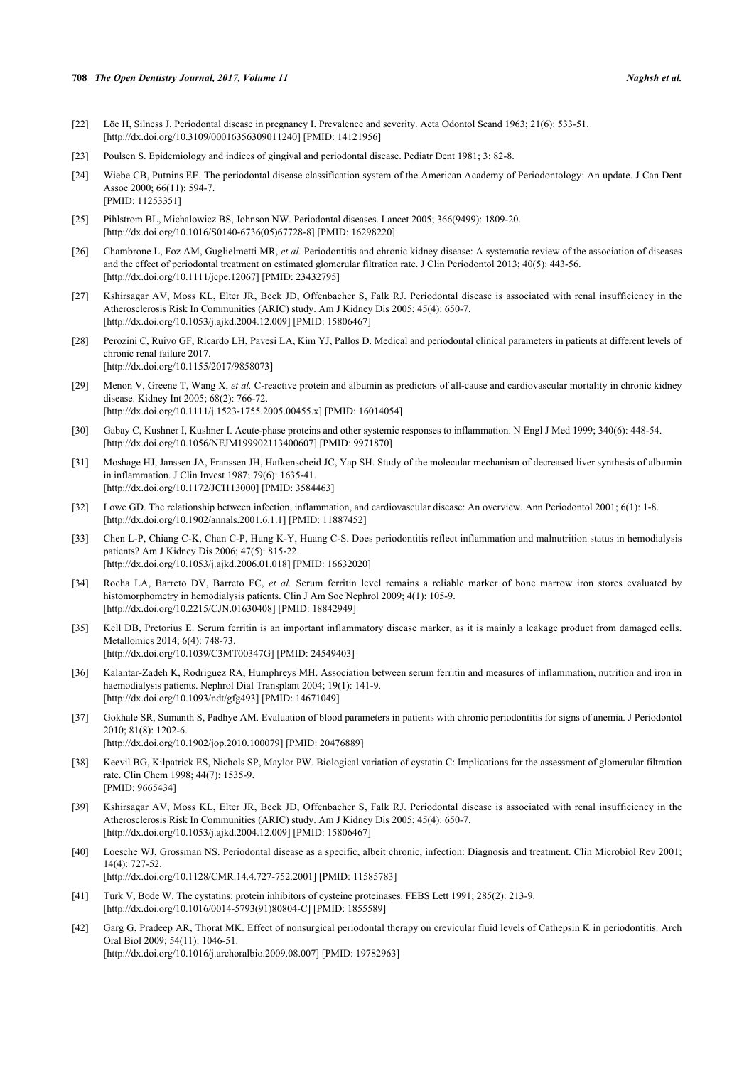#### **708** *The Open Dentistry Journal, 2017, Volume 11 Naghsh et al.*

- <span id="page-7-0"></span>[22] Löe H, Silness J. Periodontal disease in pregnancy I. Prevalence and severity. Acta Odontol Scand 1963; 21(6): 533-51. [\[http://dx.doi.org/10.3109/00016356309011240\]](http://dx.doi.org/10.3109/00016356309011240) [PMID: [14121956](http://www.ncbi.nlm.nih.gov/pubmed/14121956)]
- <span id="page-7-1"></span>[23] Poulsen S. Epidemiology and indices of gingival and periodontal disease. Pediatr Dent 1981; 3: 82-8.
- <span id="page-7-2"></span>[24] Wiebe CB, Putnins EE. The periodontal disease classification system of the American Academy of Periodontology: An update. J Can Dent Assoc 2000; 66(11): 594-7. [PMID: [11253351\]](http://www.ncbi.nlm.nih.gov/pubmed/11253351)
- <span id="page-7-3"></span>[25] Pihlstrom BL, Michalowicz BS, Johnson NW. Periodontal diseases. Lancet 2005; 366(9499): 1809-20. [\[http://dx.doi.org/10.1016/S0140-6736\(05\)67728-8\]](http://dx.doi.org/10.1016/S0140-6736(05)67728-8) [PMID: [16298220](http://www.ncbi.nlm.nih.gov/pubmed/16298220)]
- <span id="page-7-4"></span>[26] Chambrone L, Foz AM, Guglielmetti MR, *et al.* Periodontitis and chronic kidney disease: A systematic review of the association of diseases and the effect of periodontal treatment on estimated glomerular filtration rate. J Clin Periodontol 2013; 40(5): 443-56. [\[http://dx.doi.org/10.1111/jcpe.12067](http://dx.doi.org/10.1111/jcpe.12067)] [PMID: [23432795\]](http://www.ncbi.nlm.nih.gov/pubmed/23432795)
- <span id="page-7-5"></span>[27] Kshirsagar AV, Moss KL, Elter JR, Beck JD, Offenbacher S, Falk RJ. Periodontal disease is associated with renal insufficiency in the Atherosclerosis Risk In Communities (ARIC) study. Am J Kidney Dis 2005; 45(4): 650-7. [\[http://dx.doi.org/10.1053/j.ajkd.2004.12.009\]](http://dx.doi.org/10.1053/j.ajkd.2004.12.009) [PMID: [15806467](http://www.ncbi.nlm.nih.gov/pubmed/15806467)]
- <span id="page-7-6"></span>[28] Perozini C, Ruivo GF, Ricardo LH, Pavesi LA, Kim YJ, Pallos D. Medical and periodontal clinical parameters in patients at different levels of chronic renal failure 2017. [\[http://dx.doi.org/10.1155/2017/9858073](http://dx.doi.org/10.1155/2017/9858073)]
- <span id="page-7-7"></span>[29] Menon V, Greene T, Wang X, *et al.* C-reactive protein and albumin as predictors of all-cause and cardiovascular mortality in chronic kidney disease. Kidney Int 2005; 68(2): 766-72. [\[http://dx.doi.org/10.1111/j.1523-1755.2005.00455.x\]](http://dx.doi.org/10.1111/j.1523-1755.2005.00455.x) [PMID: [16014054](http://www.ncbi.nlm.nih.gov/pubmed/16014054)]
- <span id="page-7-8"></span>[30] Gabay C, Kushner I, Kushner I. Acute-phase proteins and other systemic responses to inflammation. N Engl J Med 1999; 340(6): 448-54. [\[http://dx.doi.org/10.1056/NEJM199902113400607\]](http://dx.doi.org/10.1056/NEJM199902113400607) [PMID: [9971870](http://www.ncbi.nlm.nih.gov/pubmed/9971870)]
- <span id="page-7-9"></span>[31] Moshage HJ, Janssen JA, Franssen JH, Hafkenscheid JC, Yap SH. Study of the molecular mechanism of decreased liver synthesis of albumin in inflammation. J Clin Invest 1987; 79(6): 1635-41. [\[http://dx.doi.org/10.1172/JCI113000\]](http://dx.doi.org/10.1172/JCI113000) [PMID: [3584463](http://www.ncbi.nlm.nih.gov/pubmed/3584463)]
- <span id="page-7-10"></span>[32] Lowe GD. The relationship between infection, inflammation, and cardiovascular disease: An overview. Ann Periodontol 2001; 6(1): 1-8. [\[http://dx.doi.org/10.1902/annals.2001.6.1.1](http://dx.doi.org/10.1902/annals.2001.6.1.1)] [PMID: [11887452\]](http://www.ncbi.nlm.nih.gov/pubmed/11887452)
- <span id="page-7-11"></span>[33] Chen L-P, Chiang C-K, Chan C-P, Hung K-Y, Huang C-S. Does periodontitis reflect inflammation and malnutrition status in hemodialysis patients? Am J Kidney Dis 2006; 47(5): 815-22. [\[http://dx.doi.org/10.1053/j.ajkd.2006.01.018\]](http://dx.doi.org/10.1053/j.ajkd.2006.01.018) [PMID: [16632020](http://www.ncbi.nlm.nih.gov/pubmed/16632020)]
- <span id="page-7-12"></span>[34] Rocha LA, Barreto DV, Barreto FC, *et al.* Serum ferritin level remains a reliable marker of bone marrow iron stores evaluated by histomorphometry in hemodialysis patients. Clin J Am Soc Nephrol 2009; 4(1): 105-9. [\[http://dx.doi.org/10.2215/CJN.01630408](http://dx.doi.org/10.2215/CJN.01630408)] [PMID: [18842949\]](http://www.ncbi.nlm.nih.gov/pubmed/18842949)
- <span id="page-7-13"></span>[35] Kell DB, Pretorius E. Serum ferritin is an important inflammatory disease marker, as it is mainly a leakage product from damaged cells. Metallomics 2014; 6(4): 748-73. [\[http://dx.doi.org/10.1039/C3MT00347G\]](http://dx.doi.org/10.1039/C3MT00347G) [PMID: [24549403](http://www.ncbi.nlm.nih.gov/pubmed/24549403)]
- <span id="page-7-14"></span>[36] Kalantar-Zadeh K, Rodriguez RA, Humphreys MH. Association between serum ferritin and measures of inflammation, nutrition and iron in haemodialysis patients. Nephrol Dial Transplant 2004; 19(1): 141-9. [\[http://dx.doi.org/10.1093/ndt/gfg493\]](http://dx.doi.org/10.1093/ndt/gfg493) [PMID: [14671049](http://www.ncbi.nlm.nih.gov/pubmed/14671049)]
- <span id="page-7-15"></span>[37] Gokhale SR, Sumanth S, Padhye AM. Evaluation of blood parameters in patients with chronic periodontitis for signs of anemia. J Periodontol 2010; 81(8): 1202-6. [\[http://dx.doi.org/10.1902/jop.2010.100079](http://dx.doi.org/10.1902/jop.2010.100079)] [PMID: [20476889\]](http://www.ncbi.nlm.nih.gov/pubmed/20476889)
- <span id="page-7-16"></span>[38] Keevil BG, Kilpatrick ES, Nichols SP, Maylor PW. Biological variation of cystatin C: Implications for the assessment of glomerular filtration rate. Clin Chem 1998; 44(7): 1535-9. [PMID: [9665434\]](http://www.ncbi.nlm.nih.gov/pubmed/9665434)
- <span id="page-7-17"></span>[39] Kshirsagar AV, Moss KL, Elter JR, Beck JD, Offenbacher S, Falk RJ. Periodontal disease is associated with renal insufficiency in the Atherosclerosis Risk In Communities (ARIC) study. Am J Kidney Dis 2005; 45(4): 650-7. [\[http://dx.doi.org/10.1053/j.ajkd.2004.12.009\]](http://dx.doi.org/10.1053/j.ajkd.2004.12.009) [PMID: [15806467](http://www.ncbi.nlm.nih.gov/pubmed/15806467)]
- <span id="page-7-18"></span>[40] Loesche WJ, Grossman NS. Periodontal disease as a specific, albeit chronic, infection: Diagnosis and treatment. Clin Microbiol Rev 2001; 14(4): 727-52. [\[http://dx.doi.org/10.1128/CMR.14.4.727-752.2001](http://dx.doi.org/10.1128/CMR.14.4.727-752.2001)] [PMID: [11585783\]](http://www.ncbi.nlm.nih.gov/pubmed/11585783)
- <span id="page-7-19"></span>[41] Turk V, Bode W. The cystatins: protein inhibitors of cysteine proteinases. FEBS Lett 1991; 285(2): 213-9. [\[http://dx.doi.org/10.1016/0014-5793\(91\)80804-C\]](http://dx.doi.org/10.1016/0014-5793(91)80804-C) [PMID: [1855589](http://www.ncbi.nlm.nih.gov/pubmed/1855589)]
- <span id="page-7-20"></span>[42] Garg G, Pradeep AR, Thorat MK. Effect of nonsurgical periodontal therapy on crevicular fluid levels of Cathepsin K in periodontitis. Arch Oral Biol 2009; 54(11): 1046-51.

[\[http://dx.doi.org/10.1016/j.archoralbio.2009.08.007](http://dx.doi.org/10.1016/j.archoralbio.2009.08.007)] [PMID: [19782963](http://www.ncbi.nlm.nih.gov/pubmed/19782963)]